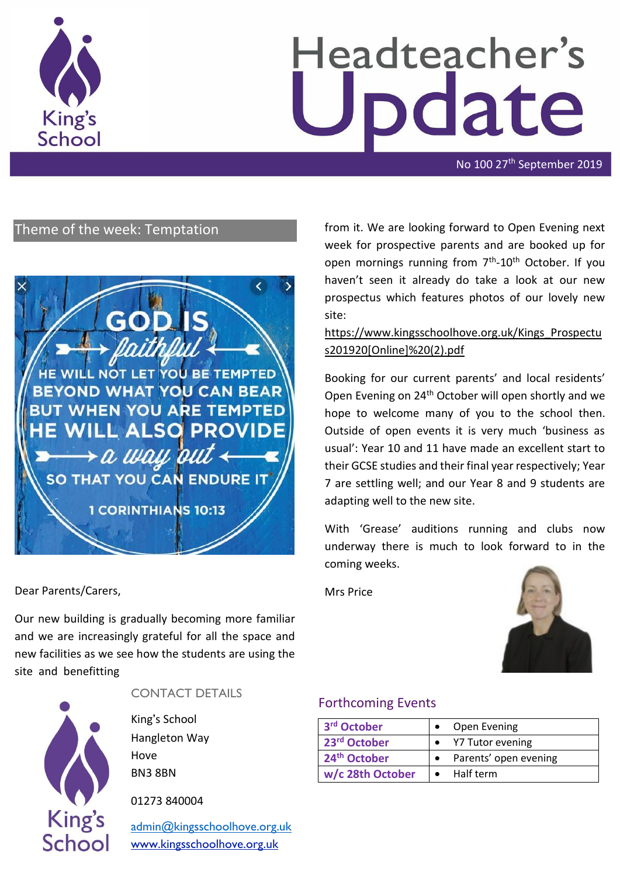

# Headteacher's date

No 100 27th September 2019

# Theme of the week: Temptation



Dear Parents/Carers,

Our new building is gradually becoming more familiar and we are increasingly grateful for all the space and new facilities as we see how the students are using the site and benefitting



## CONTACT DETAILS

King's School Hangleton Way Hove BN3 8BN

01273 840004

[admin@kingsschoolhove.org.uk](mailto:admin@kingsschoolhove.org.uk) [www.kingsschoolhove.org.uk](http://www.kingsschoolhove.org.uk/)

from it. We are looking forward to Open Evening next week for prospective parents and are booked up for open mornings running from 7<sup>th</sup>-10<sup>th</sup> October. If you haven't seen it already do take a look at our new prospectus which features photos of our lovely new site:

## [https://www.kingsschoolhove.org.uk/Kings\\_Prospectu](https://www.kingsschoolhove.org.uk/Kings_Prospectus201920%5bOnline%5d%20(2).pdf) [s201920\[Online\]%20\(2\).pdf](https://www.kingsschoolhove.org.uk/Kings_Prospectus201920%5bOnline%5d%20(2).pdf)

Booking for our current parents' and local residents' Open Evening on 24th October will open shortly and we hope to welcome many of you to the school then. Outside of open events it is very much 'business as usual': Year 10 and 11 have made an excellent start to their GCSE studies and their final year respectively; Year 7 are settling well; and our Year 8 and 9 students are adapting well to the new site.

With 'Grease' auditions running and clubs now underway there is much to look forward to in the coming weeks.

Mrs Price



#### Forthcoming Events

| 3rd October              | Open Evening          |
|--------------------------|-----------------------|
| 23rd October             | Y7 Tutor evening      |
| 24 <sup>th</sup> October | Parents' open evening |
| w/c 28th October         | Half term             |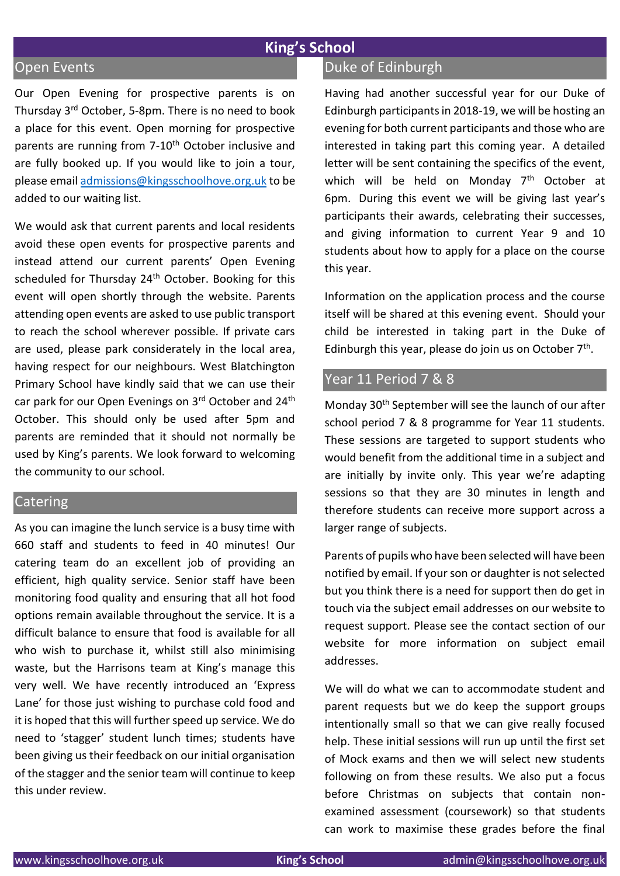# **King's School**

#### Open Events

Our Open Evening for prospective parents is on Thursday 3rd October, 5-8pm. There is no need to book a place for this event. Open morning for prospective parents are running from 7-10<sup>th</sup> October inclusive and are fully booked up. If you would like to join a tour, please email [admissions@kingsschoolhove.org.uk](mailto:admissions@kingsschoolhove.org.uk) to be added to our waiting list.

We would ask that current parents and local residents avoid these open events for prospective parents and instead attend our current parents' Open Evening scheduled for Thursday 24<sup>th</sup> October. Booking for this event will open shortly through the website. Parents attending open events are asked to use public transport to reach the school wherever possible. If private cars are used, please park considerately in the local area, having respect for our neighbours. West Blatchington Primary School have kindly said that we can use their car park for our Open Evenings on 3<sup>rd</sup> October and 24<sup>th</sup> October. This should only be used after 5pm and parents are reminded that it should not normally be used by King's parents. We look forward to welcoming the community to our school.

## **Catering**

As you can imagine the lunch service is a busy time with 660 staff and students to feed in 40 minutes! Our catering team do an excellent job of providing an efficient, high quality service. Senior staff have been monitoring food quality and ensuring that all hot food options remain available throughout the service. It is a difficult balance to ensure that food is available for all who wish to purchase it, whilst still also minimising waste, but the Harrisons team at King's manage this very well. We have recently introduced an 'Express Lane' for those just wishing to purchase cold food and it is hoped that this will further speed up service. We do need to 'stagger' student lunch times; students have been giving us their feedback on our initial organisation of the stagger and the senior team will continue to keep this under review.

# Duke of Edinburgh

Having had another successful year for our Duke of Edinburgh participants in 2018-19, we will be hosting an evening for both current participants and those who are interested in taking part this coming year. A detailed letter will be sent containing the specifics of the event, which will be held on Monday  $7<sup>th</sup>$  October at 6pm. During this event we will be giving last year's participants their awards, celebrating their successes, and giving information to current Year 9 and 10 students about how to apply for a place on the course this year.

Information on the application process and the course itself will be shared at this evening event. Should your child be interested in taking part in the Duke of Edinburgh this year, please do join us on October 7<sup>th</sup>.

## Year 11 Period 7 & 8

Monday 30th September will see the launch of our after school period 7 & 8 programme for Year 11 students. These sessions are targeted to support students who would benefit from the additional time in a subject and are initially by invite only. This year we're adapting sessions so that they are 30 minutes in length and therefore students can receive more support across a larger range of subjects.

Parents of pupils who have been selected will have been notified by email. If your son or daughter is not selected but you think there is a need for support then do get in touch via the subject email addresses on our website to request support. Please see the contact section of our website for more information on subject email addresses.

We will do what we can to accommodate student and parent requests but we do keep the support groups intentionally small so that we can give really focused help. These initial sessions will run up until the first set of Mock exams and then we will select new students following on from these results. We also put a focus before Christmas on subjects that contain nonexamined assessment (coursework) so that students can work to maximise these grades before the final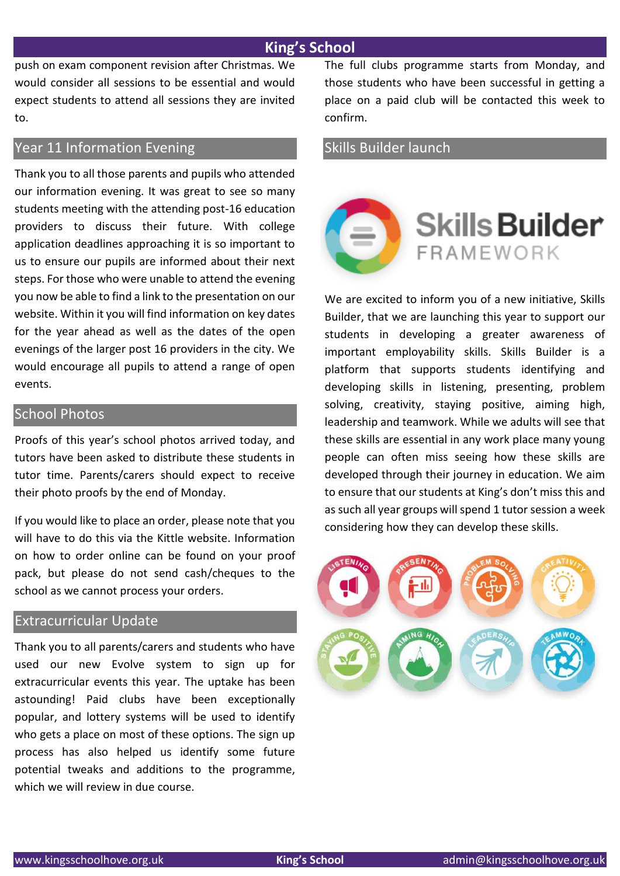# **King's School**

push on exam component revision after Christmas. We would consider all sessions to be essential and would expect students to attend all sessions they are invited to.

# Year 11 Information Evening

Thank you to all those parents and pupils who attended our information evening. It was great to see so many students meeting with the attending post-16 education providers to discuss their future. With college application deadlines approaching it is so important to us to ensure our pupils are informed about their next steps. For those who were unable to attend the evening you now be able to find a link to the presentation on our website. Within it you will find information on key dates for the year ahead as well as the dates of the open evenings of the larger post 16 providers in the city. We would encourage all pupils to attend a range of open events.

#### School Photos

Proofs of this year's school photos arrived today, and tutors have been asked to distribute these students in tutor time. Parents/carers should expect to receive their photo proofs by the end of Monday.

If you would like to place an order, please note that you will have to do this via the Kittle website. Information on how to order online can be found on your proof pack, but please do not send cash/cheques to the school as we cannot process your orders.

### Extracurricular Update

Thank you to all parents/carers and students who have used our new Evolve system to sign up for extracurricular events this year. The uptake has been astounding! Paid clubs have been exceptionally popular, and lottery systems will be used to identify who gets a place on most of these options. The sign up process has also helped us identify some future potential tweaks and additions to the programme, which we will review in due course.

The full clubs programme starts from Monday, and those students who have been successful in getting a place on a paid club will be contacted this week to confirm.

# Skills Builder launch



We are excited to inform you of a new initiative, Skills Builder, that we are launching this year to support our students in developing a greater awareness of important employability skills. Skills Builder is a platform that supports students identifying and developing skills in listening, presenting, problem solving, creativity, staying positive, aiming high, leadership and teamwork. While we adults will see that these skills are essential in any work place many young people can often miss seeing how these skills are developed through their journey in education. We aim to ensure that our students at King's don't miss this and as such all year groups will spend 1 tutor session a week considering how they can develop these skills.